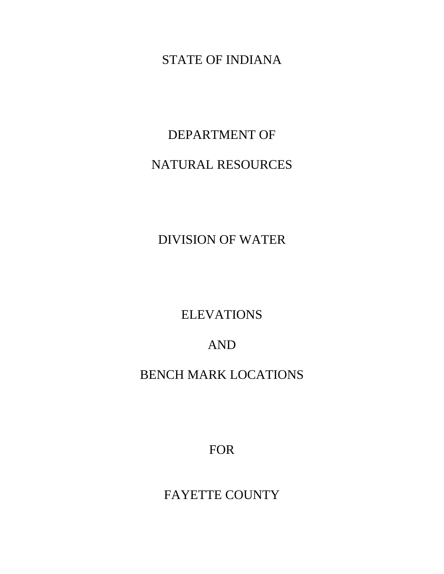## STATE OF INDIANA

# DEPARTMENT OF

## NATURAL RESOURCES

DIVISION OF WATER

**ELEVATIONS** 

AND

BENCH MARK LOCATIONS

FOR

FAYETTE COUNTY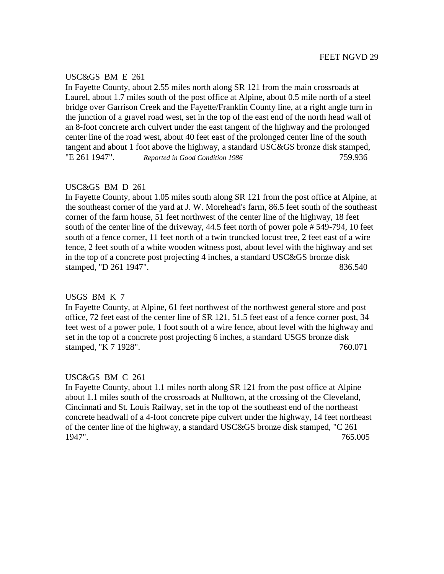### USC&GS BM E 261

In Fayette County, about 2.55 miles north along SR 121 from the main crossroads at Laurel, about 1.7 miles south of the post office at Alpine, about 0.5 mile north of a steel bridge over Garrison Creek and the Fayette/Franklin County line, at a right angle turn in the junction of a gravel road west, set in the top of the east end of the north head wall of an 8-foot concrete arch culvert under the east tangent of the highway and the prolonged center line of the road west, about 40 feet east of the prolonged center line of the south tangent and about 1 foot above the highway, a standard USC&GS bronze disk stamped, "E 261 1947". *Reported in Good Condition 1986* 759.936

## USC&GS BM D 261

In Fayette County, about 1.05 miles south along SR 121 from the post office at Alpine, at the southeast corner of the yard at J. W. Morehead's farm, 86.5 feet south of the southeast corner of the farm house, 51 feet northwest of the center line of the highway, 18 feet south of the center line of the driveway, 44.5 feet north of power pole # 549-794, 10 feet south of a fence corner, 11 feet north of a twin truncked locust tree, 2 feet east of a wire fence, 2 feet south of a white wooden witness post, about level with the highway and set in the top of a concrete post projecting 4 inches, a standard USC&GS bronze disk stamped, "D 261 1947". 836.540

## USGS BM K 7

In Fayette County, at Alpine, 61 feet northwest of the northwest general store and post office, 72 feet east of the center line of SR 121, 51.5 feet east of a fence corner post, 34 feet west of a power pole, 1 foot south of a wire fence, about level with the highway and set in the top of a concrete post projecting 6 inches, a standard USGS bronze disk stamped, "K 7 1928". 760.071

## USC&GS BM C 261

In Fayette County, about 1.1 miles north along SR 121 from the post office at Alpine about 1.1 miles south of the crossroads at Nulltown, at the crossing of the Cleveland, Cincinnati and St. Louis Railway, set in the top of the southeast end of the northeast concrete headwall of a 4-foot concrete pipe culvert under the highway, 14 feet northeast of the center line of the highway, a standard USC&GS bronze disk stamped, "C 261 1947". 765.005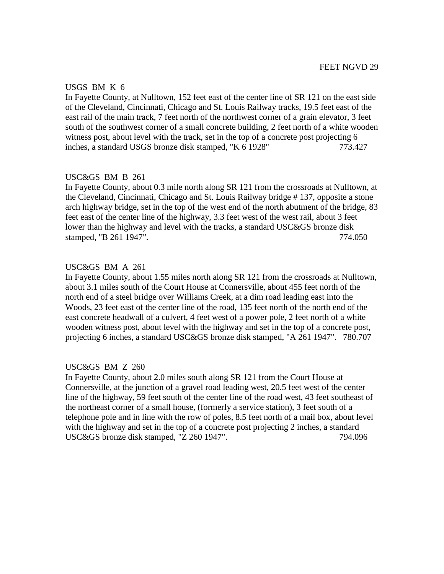### USGS BM K 6

In Fayette County, at Nulltown, 152 feet east of the center line of SR 121 on the east side of the Cleveland, Cincinnati, Chicago and St. Louis Railway tracks, 19.5 feet east of the east rail of the main track, 7 feet north of the northwest corner of a grain elevator, 3 feet south of the southwest corner of a small concrete building, 2 feet north of a white wooden witness post, about level with the track, set in the top of a concrete post projecting 6 inches, a standard USGS bronze disk stamped, "K 6 1928" 773.427

## USC&GS BM B 261

In Fayette County, about 0.3 mile north along SR 121 from the crossroads at Nulltown, at the Cleveland, Cincinnati, Chicago and St. Louis Railway bridge # 137, opposite a stone arch highway bridge, set in the top of the west end of the north abutment of the bridge, 83 feet east of the center line of the highway, 3.3 feet west of the west rail, about 3 feet lower than the highway and level with the tracks, a standard USC&GS bronze disk stamped, "B 261 1947". 774.050

## USC&GS BM A 261

In Fayette County, about 1.55 miles north along SR 121 from the crossroads at Nulltown, about 3.1 miles south of the Court House at Connersville, about 455 feet north of the north end of a steel bridge over Williams Creek, at a dim road leading east into the Woods, 23 feet east of the center line of the road, 135 feet north of the north end of the east concrete headwall of a culvert, 4 feet west of a power pole, 2 feet north of a white wooden witness post, about level with the highway and set in the top of a concrete post, projecting 6 inches, a standard USC&GS bronze disk stamped, "A 261 1947". 780.707

## USC&GS BM Z 260

In Fayette County, about 2.0 miles south along SR 121 from the Court House at Connersville, at the junction of a gravel road leading west, 20.5 feet west of the center line of the highway, 59 feet south of the center line of the road west, 43 feet southeast of the northeast corner of a small house, (formerly a service station), 3 feet south of a telephone pole and in line with the row of poles, 8.5 feet north of a mail box, about level with the highway and set in the top of a concrete post projecting 2 inches, a standard USC&GS bronze disk stamped, "Z 260 1947". 794.096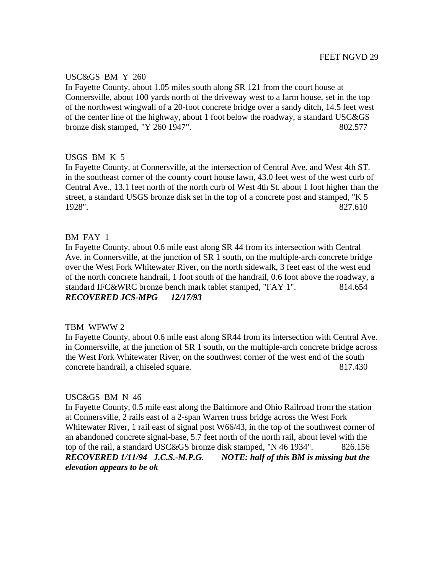## USC&GS BM Y 260

In Fayette County, about 1.05 miles south along SR 121 from the court house at Connersville, about 100 yards north of the driveway west to a farm house, set in the top of the northwest wingwall of a 20-foot concrete bridge over a sandy ditch, 14.5 feet west of the center line of the highway, about 1 foot below the roadway, a standard USC&GS bronze disk stamped, "Y 260 1947". 802.577

## USGS BM K 5

In Fayette County, at Connersville, at the intersection of Central Ave. and West 4th ST. in the southeast corner of the county court house lawn, 43.0 feet west of the west curb of Central Ave., 13.1 feet north of the north curb of West 4th St. about 1 foot higher than the street, a standard USGS bronze disk set in the top of a concrete post and stamped, "K 5 1928". 827.610

## BM FAY 1

In Fayette County, about 0.6 mile east along SR 44 from its intersection with Central Ave. in Connersville, at the junction of SR 1 south, on the multiple-arch concrete bridge over the West Fork Whitewater River, on the north sidewalk, 3 feet east of the west end of the north concrete handrail, 1 foot south of the handrail, 0.6 foot above the roadway, a standard IFC&WRC bronze bench mark tablet stamped, "FAY 1". 814.654 *RECOVERED JCS-MPG 12/17/93*

## TBM WFWW 2

In Fayette County, about 0.6 mile east along SR44 from its intersection with Central Ave. in Connersville, at the junction of SR 1 south, on the multiple-arch concrete bridge across the West Fork Whitewater River, on the southwest corner of the west end of the south concrete handrail, a chiseled square. 817.430

## USC&GS BM N 46

In Fayette County, 0.5 mile east along the Baltimore and Ohio Railroad from the station at Connersville, 2 rails east of a 2-span Warren truss bridge across the West Fork Whitewater River, 1 rail east of signal post W66/43, in the top of the southwest corner of an abandoned concrete signal-base, 5.7 feet north of the north rail, about level with the top of the rail, a standard USC&GS bronze disk stamped, "N 46 1934". 826.156 *RECOVERED 1/11/94 J.C.S.-M.P.G. NOTE: half of this BM is missing but the elevation appears to be ok*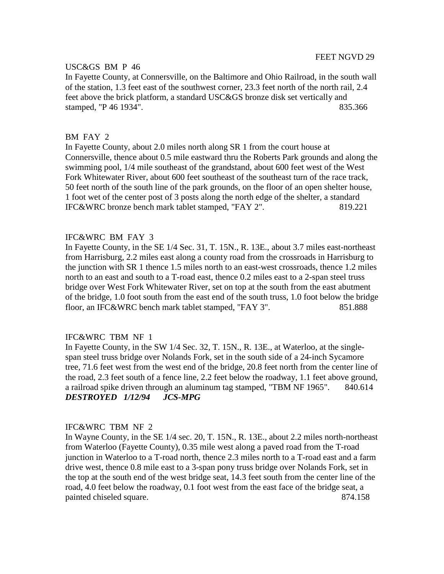## USC&GS BM P 46

In Fayette County, at Connersville, on the Baltimore and Ohio Railroad, in the south wall of the station, 1.3 feet east of the southwest corner, 23.3 feet north of the north rail, 2.4 feet above the brick platform, a standard USC&GS bronze disk set vertically and stamped, "P 46 1934". 835.366

### BM FAY 2

In Fayette County, about 2.0 miles north along SR 1 from the court house at Connersville, thence about 0.5 mile eastward thru the Roberts Park grounds and along the swimming pool, 1/4 mile southeast of the grandstand, about 600 feet west of the West Fork Whitewater River, about 600 feet southeast of the southeast turn of the race track, 50 feet north of the south line of the park grounds, on the floor of an open shelter house, 1 foot wet of the center post of 3 posts along the north edge of the shelter, a standard IFC&WRC bronze bench mark tablet stamped, "FAY 2". 819.221

## IFC&WRC BM FAY 3

In Fayette County, in the SE 1/4 Sec. 31, T. 15N., R. 13E., about 3.7 miles east-northeast from Harrisburg, 2.2 miles east along a county road from the crossroads in Harrisburg to the junction with SR 1 thence 1.5 miles north to an east-west crossroads, thence 1.2 miles north to an east and south to a T-road east, thence 0.2 miles east to a 2-span steel truss bridge over West Fork Whitewater River, set on top at the south from the east abutment of the bridge, 1.0 foot south from the east end of the south truss, 1.0 foot below the bridge floor, an IFC&WRC bench mark tablet stamped, "FAY 3". 851.888

## IFC&WRC TBM NF 1

In Fayette County, in the SW 1/4 Sec. 32, T. 15N., R. 13E., at Waterloo, at the singlespan steel truss bridge over Nolands Fork, set in the south side of a 24-inch Sycamore tree, 71.6 feet west from the west end of the bridge, 20.8 feet north from the center line of the road, 2.3 feet south of a fence line, 2.2 feet below the roadway, 1.1 feet above ground, a railroad spike driven through an aluminum tag stamped, "TBM NF 1965". 840.614 *DESTROYED 1/12/94 JCS-MPG*

#### IFC&WRC TBM NF 2

In Wayne County, in the SE 1/4 sec. 20, T. 15N., R. 13E., about 2.2 miles north-northeast from Waterloo (Fayette County), 0.35 mile west along a paved road from the T-road junction in Waterloo to a T-road north, thence 2.3 miles north to a T-road east and a farm drive west, thence 0.8 mile east to a 3-span pony truss bridge over Nolands Fork, set in the top at the south end of the west bridge seat, 14.3 feet south from the center line of the road, 4.0 feet below the roadway, 0.1 foot west from the east face of the bridge seat, a painted chiseled square. 874.158